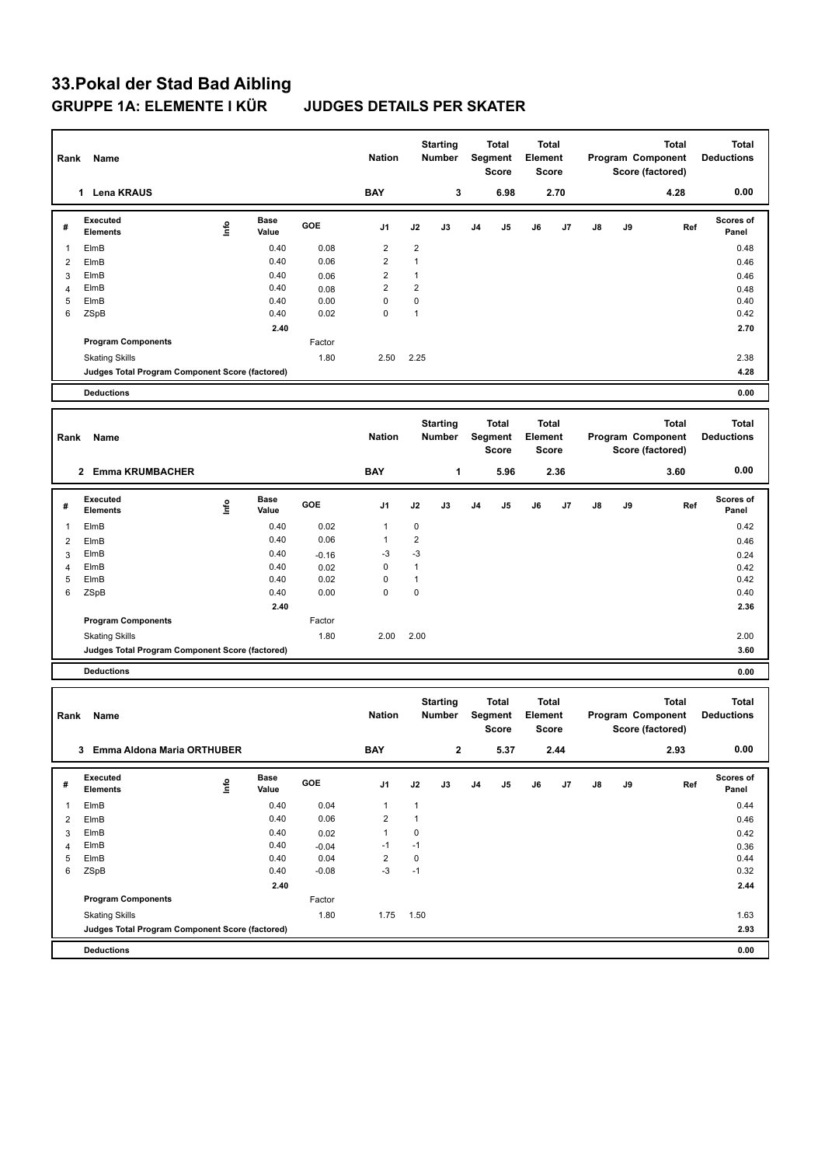## **33.Pokal der Stad Bad Aibling GRUPPE 1A: ELEMENTE I KÜR JUDGES DETAILS PER SKATER**

| Rank           | Name                                            |      |                      | <b>Nation</b> | <b>Starting</b><br>Number |                                  | Total<br>Segment<br><b>Score</b> |                                         | <b>Total</b><br>Element<br><b>Score</b> |                                         | Program Component<br>Score (factored) |                                                       | <b>Total</b> | <b>Total</b><br><b>Deductions</b>                     |                                   |
|----------------|-------------------------------------------------|------|----------------------|---------------|---------------------------|----------------------------------|----------------------------------|-----------------------------------------|-----------------------------------------|-----------------------------------------|---------------------------------------|-------------------------------------------------------|--------------|-------------------------------------------------------|-----------------------------------|
|                | 1 Lena KRAUS                                    |      |                      |               | <b>BAY</b>                |                                  | 3                                |                                         | 6.98                                    |                                         | 2.70                                  |                                                       |              | 4.28                                                  | 0.00                              |
| #              | Executed<br><b>Elements</b>                     | lnfo | <b>Base</b><br>Value | GOE           | J1                        | J2                               | J3                               | J4                                      | J5                                      | J6                                      | J7                                    | J8                                                    | J9           | Ref                                                   | Scores of<br>Panel                |
| $\mathbf{1}$   | ElmB                                            |      | 0.40                 | 0.08          | $\overline{\mathbf{c}}$   | $\overline{c}$                   |                                  |                                         |                                         |                                         |                                       |                                                       |              |                                                       | 0.48                              |
| $\overline{2}$ | ElmB                                            |      | 0.40                 | 0.06          | $\overline{2}$            | $\mathbf{1}$                     |                                  |                                         |                                         |                                         |                                       |                                                       |              |                                                       | 0.46                              |
| 3              | ElmB                                            |      | 0.40                 | 0.06          | 2                         | $\mathbf{1}$                     |                                  |                                         |                                         |                                         |                                       |                                                       |              |                                                       | 0.46                              |
| 4<br>5         | ElmB<br>ElmB                                    |      | 0.40<br>0.40         | 0.08<br>0.00  | 2<br>0                    | $\overline{2}$<br>$\mathbf 0$    |                                  |                                         |                                         |                                         |                                       |                                                       |              |                                                       | 0.48<br>0.40                      |
| 6              | ZSpB                                            |      | 0.40                 | 0.02          | 0                         | $\mathbf{1}$                     |                                  |                                         |                                         |                                         |                                       |                                                       |              |                                                       | 0.42                              |
|                |                                                 |      | 2.40                 |               |                           |                                  |                                  |                                         |                                         |                                         |                                       |                                                       |              |                                                       | 2.70                              |
|                | <b>Program Components</b>                       |      |                      | Factor        |                           |                                  |                                  |                                         |                                         |                                         |                                       |                                                       |              |                                                       |                                   |
|                | <b>Skating Skills</b>                           |      |                      | 1.80          | 2.50                      | 2.25                             |                                  |                                         |                                         |                                         |                                       |                                                       |              |                                                       | 2.38                              |
|                | Judges Total Program Component Score (factored) |      |                      |               |                           |                                  |                                  |                                         |                                         |                                         |                                       |                                                       |              |                                                       | 4.28                              |
|                | <b>Deductions</b>                               |      |                      |               |                           |                                  |                                  |                                         |                                         |                                         |                                       |                                                       |              |                                                       | 0.00                              |
|                |                                                 |      |                      |               |                           |                                  |                                  |                                         |                                         |                                         |                                       |                                                       |              |                                                       |                                   |
|                | Rank<br>Name                                    |      |                      |               | <b>Nation</b>             | <b>Starting</b><br><b>Number</b> |                                  | <b>Total</b><br>Segment<br><b>Score</b> |                                         | <b>Total</b><br>Element<br><b>Score</b> |                                       | <b>Total</b><br>Program Component<br>Score (factored) |              |                                                       | <b>Total</b><br><b>Deductions</b> |
|                | 2 Emma KRUMBACHER                               |      |                      |               | <b>BAY</b>                |                                  | 1                                |                                         | 5.96                                    |                                         | 2.36                                  |                                                       |              | 3.60                                                  | 0.00                              |
| #              | Executed<br><b>Elements</b>                     | lnfo | Base<br>Value        | GOE           | J1                        | J2                               | J3                               | J4                                      | J5                                      | J6                                      | J7                                    | J8                                                    | J9           | Ref                                                   | Scores of<br>Panel                |
| $\mathbf{1}$   | ElmB                                            |      | 0.40                 | 0.02          | $\mathbf{1}$              | 0                                |                                  |                                         |                                         |                                         |                                       |                                                       |              |                                                       | 0.42                              |
| 2              | ElmB                                            |      | 0.40                 | 0.06          | 1                         | $\overline{2}$                   |                                  |                                         |                                         |                                         |                                       |                                                       |              |                                                       | 0.46                              |
| 3              | ElmB                                            |      | 0.40                 | $-0.16$       | -3                        | -3                               |                                  |                                         |                                         |                                         |                                       |                                                       |              |                                                       | 0.24                              |
| $\overline{4}$ | ElmB                                            |      | 0.40                 | 0.02          | 0                         | $\mathbf{1}$                     |                                  |                                         |                                         |                                         |                                       |                                                       |              |                                                       | 0.42                              |
| 5              | ElmB                                            |      | 0.40                 | 0.02          | 0<br>0                    | $\mathbf{1}$<br>$\pmb{0}$        |                                  |                                         |                                         |                                         |                                       |                                                       |              |                                                       | 0.42                              |
| 6              | ZSpB                                            |      | 0.40<br>2.40         | 0.00          |                           |                                  |                                  |                                         |                                         |                                         |                                       |                                                       |              |                                                       | 0.40<br>2.36                      |
|                | <b>Program Components</b>                       |      |                      | Factor        |                           |                                  |                                  |                                         |                                         |                                         |                                       |                                                       |              |                                                       |                                   |
|                | <b>Skating Skills</b>                           |      |                      | 1.80          | 2.00                      | 2.00                             |                                  |                                         |                                         |                                         |                                       |                                                       |              |                                                       | 2.00                              |
|                | Judges Total Program Component Score (factored) |      |                      |               |                           |                                  |                                  |                                         |                                         |                                         |                                       |                                                       |              |                                                       | 3.60                              |
|                | <b>Deductions</b>                               |      |                      |               |                           |                                  |                                  |                                         |                                         |                                         |                                       |                                                       |              |                                                       | 0.00                              |
|                |                                                 |      |                      |               |                           |                                  |                                  |                                         |                                         |                                         |                                       |                                                       |              |                                                       |                                   |
| Rank           | Name                                            |      |                      |               | <b>Nation</b>             |                                  | <b>Starting</b><br><b>Number</b> |                                         | <b>Total</b><br>Segment<br><b>Score</b> | Element                                 | Total<br><b>Score</b>                 |                                                       |              | <b>Total</b><br>Program Component<br>Score (factored) | <b>Total</b><br><b>Deductions</b> |
|                | 3 Emma Aldona Maria ORTHUBER                    |      |                      |               | <b>BAY</b>                |                                  | $\mathbf{2}$                     |                                         | 5.37                                    |                                         | 2.44                                  |                                                       |              | 2.93                                                  | 0.00                              |
| #              | Executed<br><b>Elements</b>                     | lnfo | <b>Base</b><br>Value | GOE           | J1                        | J2                               | J3                               | J4                                      | J5                                      | J6                                      | J7                                    | J8                                                    | J9           | Ref                                                   | Scores of<br>Panel                |
| $\mathbf{1}$   | ElmB                                            |      | 0.40                 | 0.04          | $\mathbf{1}$              | $\mathbf{1}$                     |                                  |                                         |                                         |                                         |                                       |                                                       |              |                                                       | 0.44                              |
| $\overline{2}$ | ElmB                                            |      | 0.40                 | 0.06          | $\overline{2}$            | $\mathbf{1}$                     |                                  |                                         |                                         |                                         |                                       |                                                       |              |                                                       | 0.46                              |
| 3              | ElmB                                            |      | 0.40                 | 0.02          | $\mathbf{1}$              | $\mathbf 0$                      |                                  |                                         |                                         |                                         |                                       |                                                       |              |                                                       | 0.42                              |
| $\overline{4}$ | ElmB                                            |      | 0.40                 | $-0.04$       | $-1$                      | $-1$                             |                                  |                                         |                                         |                                         |                                       |                                                       |              |                                                       | 0.36                              |
| 5              | ElmB                                            |      | 0.40                 | 0.04          | $\overline{2}$            | $\mathbf 0$                      |                                  |                                         |                                         |                                         |                                       |                                                       |              |                                                       | 0.44                              |
| 6              | ZSpB                                            |      | 0.40                 | $-0.08$       | $-3$                      | $-1$                             |                                  |                                         |                                         |                                         |                                       |                                                       |              |                                                       | 0.32                              |
|                | <b>Program Components</b>                       |      | 2.40                 | Factor        |                           |                                  |                                  |                                         |                                         |                                         |                                       |                                                       |              |                                                       | 2.44                              |
|                | <b>Skating Skills</b>                           |      |                      | 1.80          | 1.75                      | 1.50                             |                                  |                                         |                                         |                                         |                                       |                                                       |              |                                                       | 1.63                              |
|                | Judges Total Program Component Score (factored) |      |                      |               |                           |                                  |                                  |                                         |                                         |                                         |                                       |                                                       |              |                                                       | 2.93                              |
|                | <b>Deductions</b>                               |      |                      |               |                           |                                  |                                  |                                         |                                         |                                         |                                       |                                                       |              |                                                       | 0.00                              |